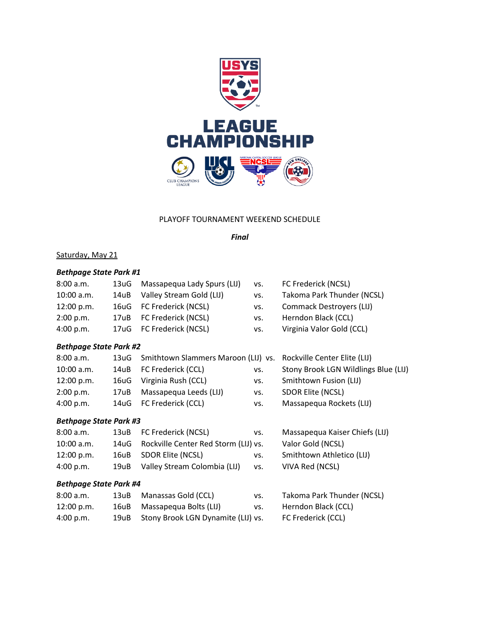

#### PLAYOFF TOURNAMENT WEEKEND SCHEDULE

*Final*

## Saturday, May 21

## *Bethpage State Park #1*

| 8:00 a.m.    | 13uG | Massapequa Lady Spurs (LIJ) | VS. | FC Frederick (NCSL)        |
|--------------|------|-----------------------------|-----|----------------------------|
| $10:00$ a.m. | 14uB | Valley Stream Gold (LIJ)    | VS. | Takoma Park Thunder (NCSL) |
| 12:00 p.m.   |      | 16uG FC Frederick (NCSL)    | VS. | Commack Destroyers (LIJ)   |
| 2:00 p.m.    |      | 17uB FC Frederick (NCSL)    | VS. | Herndon Black (CCL)        |
| 4:00 p.m.    |      | 17uG FC Frederick (NCSL)    | VS. | Virginia Valor Gold (CCL)  |
|              |      |                             |     |                            |

## *Bethpage State Park #2*

| 8:00 a.m.    |      | 13uG Smithtown Slammers Maroon (LIJ) vs. Rockville Center Elite (LIJ) |     |                                      |
|--------------|------|-----------------------------------------------------------------------|-----|--------------------------------------|
| $10:00$ a.m. |      | 14uB FC Frederick (CCL)                                               | VS. | Stony Brook LGN Wildlings Blue (LIJ) |
| 12:00 p.m.   |      | 16uG Virginia Rush (CCL)                                              | VS. | Smithtown Fusion (LIJ)               |
| 2:00 p.m.    | 17uB | Massapequa Leeds (LIJ)                                                | VS. | SDOR Elite (NCSL)                    |
| 4:00 p.m.    |      | 14uG FC Frederick (CCL)                                               | VS. | Massapequa Rockets (LIJ)             |
|              |      |                                                                       |     |                                      |

## *Bethpage State Park #3*

8:00 a.m. 13uB FC Frederick (NCSL) vs. Massapequa Kaiser Chiefs (LIJ) 10:00 a.m. 14uG Rockville Center Red Storm (LIJ) vs. Valor Gold (NCSL) 12:00 p.m. 16uB SDOR Elite (NCSL) vs. Smithtown Athletico (LIJ) 4:00 p.m. 19uB Valley Stream Colombia (LIJ) vs. VIVA Red (NCSL)

## *Bethpage State Park #4*

| 8:00 a.m.  | 13uB | Manassas Gold (CCL)                     | VS. | Takoma Park Thunder (NCSL) |
|------------|------|-----------------------------------------|-----|----------------------------|
| 12:00 p.m. |      | 16uB Massapegua Bolts (LIJ)             | VS. | Herndon Black (CCL)        |
| 4:00 p.m.  |      | 19uB Stony Brook LGN Dynamite (LIJ) vs. |     | FC Frederick (CCL)         |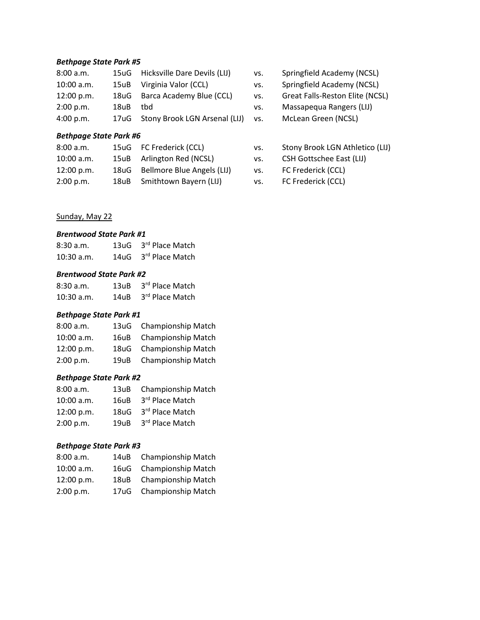#### *Bethpage State Park #5*

| 8:00 a.m.    |      | 15uG Hicksville Dare Devils (LIJ)  |
|--------------|------|------------------------------------|
| $10:00$ a.m. |      | 15uB Virginia Valor (CCL)          |
| 12:00 p.m.   |      | 18uG Barca Academy Blue (CCL)      |
| 2:00 p.m.    | 18uB | thd                                |
| 4:00 p.m.    |      | 17uG Stony Brook LGN Arsenal (LIJ) |

## *Bethpage State Park #6*

| 8:00 a.m.    |      | 15uG FC Frederick (CCL)         |
|--------------|------|---------------------------------|
| $10:00$ a.m. |      | 15uB Arlington Red (NCSL)       |
| 12:00 p.m.   |      | 18uG Bellmore Blue Angels (LIJ) |
| 2:00 p.m.    | 18uB | Smithtown Bayern (LIJ)          |

Sunday, May 22

#### *Brentwood State Park #1*

| 8:30a.m.     | 13uG 3rd Place Match |
|--------------|----------------------|
| $10:30$ a.m. | 14uG 3rd Place Match |

#### *Brentwood State Park #2*

| 8:30a.m.     | 13uB 3rd Place Match |
|--------------|----------------------|
| $10:30$ a.m. | 14uB 3rd Place Match |

### *Bethpage State Park #1*

| 8:00 a.m.    |      | 13uG Championship Match   |
|--------------|------|---------------------------|
| $10:00$ a.m. |      | 16uB Championship Match   |
| 12:00 p.m.   |      | 18uG Championship Match   |
| 2:00 p.m.    | 19uB | <b>Championship Match</b> |

### *Bethpage State Park #2*

| 8:00 a.m.    |      | 13uB Championship Match |
|--------------|------|-------------------------|
| $10:00$ a.m. | 16uB | 3rd Place Match         |
| 12:00 p.m.   |      | 18uG 3rd Place Match    |
| 2:00 p.m.    | 19uB | 3rd Place Match         |

## *Bethpage State Park #3*

| 8:00 a.m.  |      | 14uB Championship Match   |
|------------|------|---------------------------|
| 10:00 a.m. |      | 16uG Championship Match   |
| 12:00 p.m. | 18uB | <b>Championship Match</b> |
| 2:00 p.m.  |      | 17uG Championship Match   |

- vs. Springfield Academy (NCSL)
- vs. Springfield Academy (NCSL)
- vs. Great Falls-Reston Elite (NCSL)
- vs. Massapequa Rangers (LIJ)
- vs. McLean Green (NCSL)
- vs. Stony Brook LGN Athletico (LIJ)
- vs. CSH Gottschee East (LIJ)
- vs. FC Frederick (CCL)
- vs. FC Frederick (CCL)